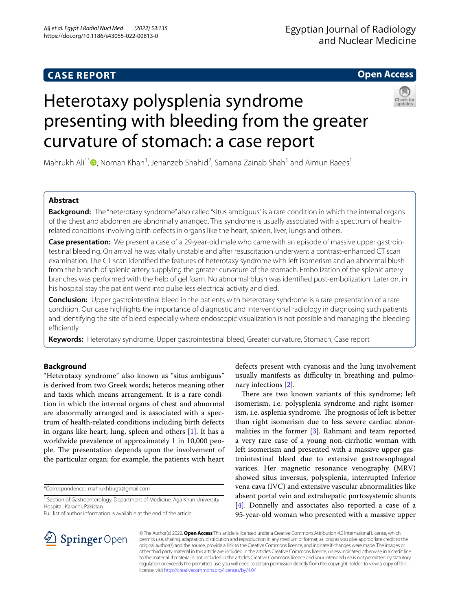# **CASE REPORT**

# **Open Access**

# Heterotaxy polysplenia syndrome presenting with bleeding from the greater curvature of stomach: a case report



Mahrukh Ali<sup>1\*</sup> <sup>(b</sup>[,](http://orcid.org/0000-0001-6978-5924) Noman Khan<sup>1</sup>, Jehanzeb Shahid<sup>2</sup>, Samana Zainab Shah<sup>1</sup> and Aimun Raees<sup>1</sup>

# **Abstract**

**Background:** The "heterotaxy syndrome" also called "situs ambiguus" is a rare condition in which the internal organs of the chest and abdomen are abnormally arranged. This syndrome is usually associated with a spectrum of healthrelated conditions involving birth defects in organs like the heart, spleen, liver, lungs and others.

**Case presentation:** We present a case of a 29-year-old male who came with an episode of massive upper gastrointestinal bleeding. On arrival he was vitally unstable and after resuscitation underwent a contrast-enhanced CT scan examination. The CT scan identifed the features of heterotaxy syndrome with left isomerism and an abnormal blush from the branch of splenic artery supplying the greater curvature of the stomach. Embolization of the splenic artery branches was performed with the help of gel foam. No abnormal blush was identifed post-embolization. Later on, in his hospital stay the patient went into pulse less electrical activity and died.

**Conclusion:** Upper gastrointestinal bleed in the patients with heterotaxy syndrome is a rare presentation of a rare condition. Our case highlights the importance of diagnostic and interventional radiology in diagnosing such patients and identifying the site of bleed especially where endoscopic visualization is not possible and managing the bleeding efficiently.

**Keywords:** Heterotaxy syndrome, Upper gastrointestinal bleed, Greater curvature, Stomach, Case report

# **Background**

"Heterotaxy syndrome" also known as "situs ambiguus" is derived from two Greek words; heteros meaning other and taxis which means arrangement. It is a rare condition in which the internal organs of chest and abnormal are abnormally arranged and is associated with a spectrum of health-related conditions including birth defects in organs like heart, lung, spleen and others [\[1](#page-3-0)]. It has a worldwide prevalence of approximately 1 in 10,000 people. The presentation depends upon the involvement of the particular organ; for example, the patients with heart

\*Correspondence: mahrukhbugti@gmail.com

Full list of author information is available at the end of the article

defects present with cyanosis and the lung involvement usually manifests as difficulty in breathing and pulmonary infections [\[2](#page-3-1)].

There are two known variants of this syndrome; left isomerism, i.e. polysplenia syndrome and right isomerism, i.e. asplenia syndrome. The prognosis of left is better than right isomerism due to less severe cardiac abnor-malities in the former [[3\]](#page-3-2). Rahmani and team reported a very rare case of a young non-cirrhotic woman with left isomerism and presented with a massive upper gastrointestinal bleed due to extensive gastroesophageal varices. Her magnetic resonance venography (MRV) showed situs inversus, polysplenia, interrupted Inferior vena cava (IVC) and extensive vascular abnormalities like absent portal vein and extrahepatic portosystemic shunts [[4\]](#page-3-3). Donnelly and associates also reported a case of a 95-year-old woman who presented with a massive upper



© The Author(s) 2022. **Open Access** This article is licensed under a Creative Commons Attribution 4.0 International License, which permits use, sharing, adaptation, distribution and reproduction in any medium or format, as long as you give appropriate credit to the original author(s) and the source, provide a link to the Creative Commons licence, and indicate if changes were made. The images or other third party material in this article are included in the article's Creative Commons licence, unless indicated otherwise in a credit line to the material. If material is not included in the article's Creative Commons licence and your intended use is not permitted by statutory regulation or exceeds the permitted use, you will need to obtain permission directly from the copyright holder. To view a copy of this licence, visit [http://creativecommons.org/licenses/by/4.0/.](http://creativecommons.org/licenses/by/4.0/)

<sup>&</sup>lt;sup>1</sup> Section of Gastroenterology, Department of Medicine, Aga Khan University Hospital, Karachi, Pakistan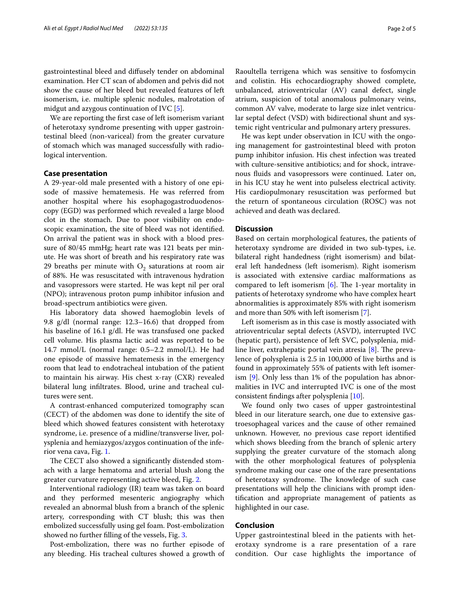gastrointestinal bleed and difusely tender on abdominal examination. Her CT scan of abdomen and pelvis did not show the cause of her bleed but revealed features of left isomerism, i.e. multiple splenic nodules, malrotation of midgut and azygous continuation of IVC [\[5](#page-3-4)].

We are reporting the frst case of left isomerism variant of heterotaxy syndrome presenting with upper gastrointestinal bleed (non-variceal) from the greater curvature of stomach which was managed successfully with radiological intervention.

### **Case presentation**

A 29-year-old male presented with a history of one episode of massive hematemesis. He was referred from another hospital where his esophagogastroduodenoscopy (EGD) was performed which revealed a large blood clot in the stomach. Due to poor visibility on endoscopic examination, the site of bleed was not identifed. On arrival the patient was in shock with a blood pressure of 80/45 mmHg; heart rate was 121 beats per minute. He was short of breath and his respiratory rate was 29 breaths per minute with  $O<sub>2</sub>$  saturations at room air of 88%. He was resuscitated with intravenous hydration and vasopressors were started. He was kept nil per oral (NPO); intravenous proton pump inhibitor infusion and broad-spectrum antibiotics were given.

His laboratory data showed haemoglobin levels of 9.8 g/dl (normal range: 12.3–16.6) that dropped from his baseline of 16.1 g/dl. He was transfused one packed cell volume. His plasma lactic acid was reported to be 14.7 mmol/L (normal range: 0.5–2.2 mmol/L). He had one episode of massive hematemesis in the emergency room that lead to endotracheal intubation of the patient to maintain his airway. His chest x-ray (CXR) revealed bilateral lung infltrates. Blood, urine and tracheal cultures were sent.

A contrast-enhanced computerized tomography scan (CECT) of the abdomen was done to identify the site of bleed which showed features consistent with heterotaxy syndrome, i.e. presence of a midline/transverse liver, polysplenia and hemiazygos/azygos continuation of the inferior vena cava, Fig. [1](#page-2-0).

The CECT also showed a significantly distended stomach with a large hematoma and arterial blush along the greater curvature representing active bleed, Fig. [2](#page-2-1).

Interventional radiology (IR) team was taken on board and they performed mesenteric angiography which revealed an abnormal blush from a branch of the splenic artery, corresponding with CT blush; this was then embolized successfully using gel foam. Post-embolization showed no further flling of the vessels, Fig. [3](#page-3-5).

Post-embolization, there was no further episode of any bleeding. His tracheal cultures showed a growth of

Raoultella terrigena which was sensitive to fosfomycin and colistin. His echocardiography showed complete, unbalanced, atrioventricular (AV) canal defect, single atrium, suspicion of total anomalous pulmonary veins, common AV valve, moderate to large size inlet ventricular septal defect (VSD) with bidirectional shunt and systemic right ventricular and pulmonary artery pressures.

He was kept under observation in ICU with the ongoing management for gastrointestinal bleed with proton pump inhibitor infusion. His chest infection was treated with culture-sensitive antibiotics; and for shock, intravenous fuids and vasopressors were continued. Later on, in his ICU stay he went into pulseless electrical activity. His cardiopulmonary resuscitation was performed but the return of spontaneous circulation (ROSC) was not achieved and death was declared.

## **Discussion**

Based on certain morphological features, the patients of heterotaxy syndrome are divided in two sub-types, i.e. bilateral right handedness (right isomerism) and bilateral left handedness (left isomerism). Right isomerism is associated with extensive cardiac malformations as compared to left isomerism  $[6]$  $[6]$ . The 1-year mortality in patients of heterotaxy syndrome who have complex heart abnormalities is approximately 85% with right isomerism and more than 50% with left isomerism [\[7](#page-3-7)].

Left isomerism as in this case is mostly associated with atrioventricular septal defects (ASVD), interrupted IVC (hepatic part), persistence of left SVC, polysplenia, midline liver, extrahepatic portal vein atresia  $[8]$  $[8]$ . The prevalence of polysplenia is 2.5 in 100,000 of live births and is found in approximately 55% of patients with left isomerism [\[9\]](#page-3-9). Only less than 1% of the population has abnormalities in IVC and interrupted IVC is one of the most consistent fndings after polysplenia [[10\]](#page-4-0).

We found only two cases of upper gastrointestinal bleed in our literature search, one due to extensive gastroesophageal varices and the cause of other remained unknown. However, no previous case report identifed which shows bleeding from the branch of splenic artery supplying the greater curvature of the stomach along with the other morphological features of polysplenia syndrome making our case one of the rare presentations of heterotaxy syndrome. The knowledge of such case presentations will help the clinicians with prompt identifcation and appropriate management of patients as highlighted in our case.

## **Conclusion**

Upper gastrointestinal bleed in the patients with heterotaxy syndrome is a rare presentation of a rare condition. Our case highlights the importance of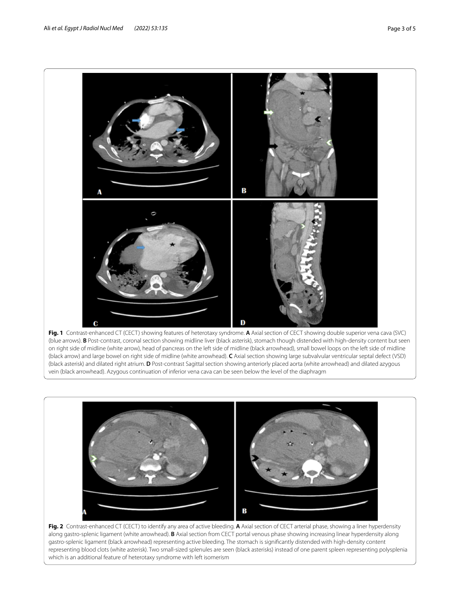

<span id="page-2-0"></span>



<span id="page-2-1"></span>**Fig. 2** Contrast-enhanced CT (CECT) to identify any area of active bleeding. **A** Axial section of CECT arterial phase, showing a liner hyperdensity along gastro-splenic ligament (white arrowhead). **B** Axial section from CECT portal venous phase showing increasing linear hyperdensity along gastro-splenic ligament (black arrowhead) representing active bleeding. The stomach is signifcantly distended with high-density content representing blood clots (white asterisk). Two small-sized splenules are seen (black asterisks) instead of one parent spleen representing polysplenia which is an additional feature of heterotaxy syndrome with left isomerism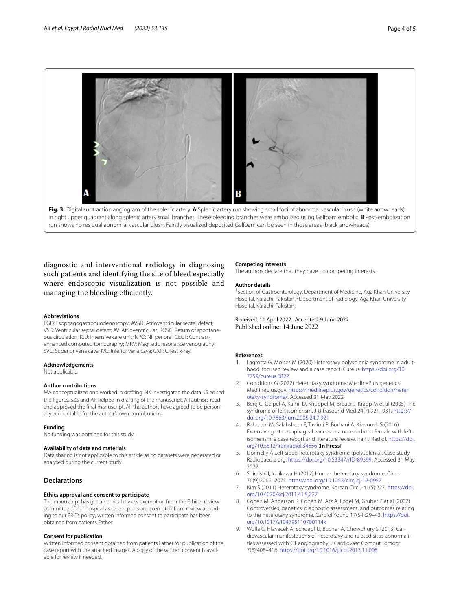

<span id="page-3-5"></span>in right upper quadrant along splenic artery small branches. These bleeding branches were embolized using Gelfoam embolic. **B** Post-embolization run shows no residual abnormal vascular blush. Faintly visualized deposited Gelfoam can be seen in those areas (black arrowheads)

diagnostic and interventional radiology in diagnosing such patients and identifying the site of bleed especially where endoscopic visualization is not possible and managing the bleeding efficiently.

#### **Abbreviations**

EGD: Esophagogastroduodenoscopy; AVSD: Atrioventricular septal defect; VSD: Ventricular septal defect; AV: Atrioventricular; ROSC: Return of spontaneous circulation; ICU: Intensive care unit; NPO: Nil per oral; CECT: Contrastenhanced computed tomography; MRV: Magnetic resonance venography; SVC: Superior vena cava; IVC: Inferior vena cava; CXR: Chest x-ray.

#### **Acknowledgements**

Not applicable.

#### **Author contributions**

MA conceptualized and worked in drafting. NK investigated the data. JS edited the fgures. SZS and AR helped in drafting of the manuscript. All authors read and approved the fnal manuscript. All the authors have agreed to be personally accountable for the author's own contributions.

#### **Funding**

No funding was obtained for this study.

#### **Availability of data and materials**

Data sharing is not applicable to this article as no datasets were generated or analysed during the current study.

## **Declarations**

#### **Ethics approval and consent to participate**

The manuscript has got an ethical review exemption from the Ethical review committee of our hospital as case reports are exempted from review according to our ERC's policy; written informed consent to participate has been obtained from patients Father.

#### **Consent for publication**

Written informed consent obtained from patients Father for publication of the case report with the attached images. A copy of the written consent is available for review if needed.

#### **Competing interests**

The authors declare that they have no competing interests.

#### **Author details**

<sup>1</sup> Section of Gastroenterology, Department of Medicine, Aga Khan University Hospital, Karachi, Pakistan. <sup>2</sup> Department of Radiology, Aga Khan University Hospital, Karachi, Pakistan.

Received: 11 April 2022 Accepted: 9 June 2022 Published online: 14 June 2022

#### **References**

- <span id="page-3-0"></span>Lagrotta G, Moises M (2020) Heterotaxy polysplenia syndrome in adulthood: focused review and a case report. Cureus. [https://doi.org/10.](https://doi.org/10.7759/cureus.6822) [7759/cureus.6822](https://doi.org/10.7759/cureus.6822)
- <span id="page-3-1"></span>2. Conditions G (2022) Heterotaxy syndrome: MedlinePlus genetics. Medlineplus.gov. [https://medlineplus.gov/genetics/condition/heter](https://medlineplus.gov/genetics/condition/heterotaxy-syndrome/) [otaxy-syndrome/.](https://medlineplus.gov/genetics/condition/heterotaxy-syndrome/) Accessed 31 May 2022
- <span id="page-3-2"></span>3. Berg C, Geipel A, Kamil D, Knüppel M, Breuer J, Krapp M et al (2005) The syndrome of left isomerism. J Ultrasound Med 24(7):921–931. [https://](https://doi.org/10.7863/jum.2005.24.7.921) [doi.org/10.7863/jum.2005.24.7.921](https://doi.org/10.7863/jum.2005.24.7.921)
- <span id="page-3-3"></span>4. Rahmani M, Salahshour F, Taslimi R, Borhani A, Kianoush S (2016) Extensive gastroesophageal varices in a non-cirrhotic female with left isomerism: a case report and literature review. Iran J Radiol. [https://doi.](https://doi.org/10.5812/iranjradiol.34656) [org/10.5812/iranjradiol.34656](https://doi.org/10.5812/iranjradiol.34656) (**In Press**)
- <span id="page-3-4"></span>5. Donnelly A Left sided heterotaxy syndrome (polysplenia). Case study, Radiopaedia.org. <https://doi.org/10.53347/rID-89399>. Accessed 31 May 2022
- <span id="page-3-6"></span>6. Shiraishi I, Ichikawa H (2012) Human heterotaxy syndrome. Circ J 76(9):2066–2075. <https://doi.org/10.1253/circj.cj-12-0957>
- <span id="page-3-7"></span>7. Kim S (2011) Heterotaxy syndrome. Korean Circ J 41(5):227. [https://doi.](https://doi.org/10.4070/kcj.2011.41.5.227) [org/10.4070/kcj.2011.41.5.227](https://doi.org/10.4070/kcj.2011.41.5.227)
- <span id="page-3-8"></span>8. Cohen M, Anderson R, Cohen M, Atz A, Fogel M, Gruber P et al (2007) Controversies, genetics, diagnostic assessment, and outcomes relating to the heterotaxy syndrome. Cardiol Young 17(S4):29–43. [https://doi.](https://doi.org/10.1017/s104795110700114x) [org/10.1017/s104795110700114x](https://doi.org/10.1017/s104795110700114x)
- <span id="page-3-9"></span>Wolla C, Hlavacek A, Schoepf U, Bucher A, Chowdhury S (2013) Cardiovascular manifestations of heterotaxy and related situs abnormalities assessed with CT angiography. J Cardiovasc Comput Tomogr 7(6):408–416.<https://doi.org/10.1016/j.jcct.2013.11.008>